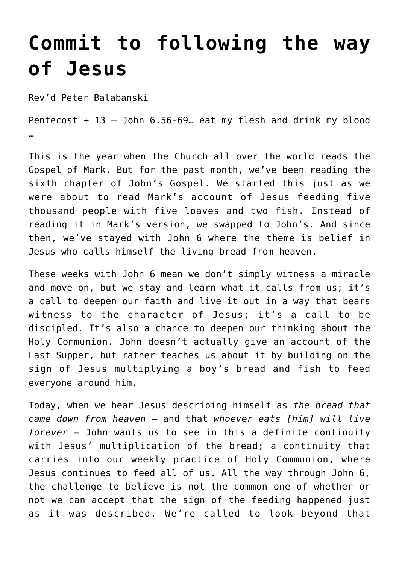## **[Commit to following the way](https://stjohnsadelaide.org.au/commit-to-following-the-way-of-jesus/) [of Jesus](https://stjohnsadelaide.org.au/commit-to-following-the-way-of-jesus/)**

Rev'd Peter Balabanski

Pentecost + 13 – John 6.56-69… eat my flesh and drink my blood …

This is the year when the Church all over the world reads the Gospel of Mark. But for the past month, we've been reading the sixth chapter of John's Gospel. We started this just as we were about to read Mark's account of Jesus feeding five thousand people with five loaves and two fish. Instead of reading it in Mark's version, we swapped to John's. And since then, we've stayed with John 6 where the theme is belief in Jesus who calls himself the living bread from heaven.

These weeks with John 6 mean we don't simply witness a miracle and move on, but we stay and learn what it calls from us; it's a call to deepen our faith and live it out in a way that bears witness to the character of Jesus: it's a call to be discipled. It's also a chance to deepen our thinking about the Holy Communion. John doesn't actually give an account of the Last Supper, but rather teaches us about it by building on the sign of Jesus multiplying a boy's bread and fish to feed everyone around him.

Today, when we hear Jesus describing himself as *the bread that came down from heaven* – and that *whoever eats [him] will live forever* – John wants us to see in this a definite continuity with Jesus' multiplication of the bread; a continuity that carries into our weekly practice of Holy Communion, where Jesus continues to feed all of us. All the way through John 6, the challenge to believe is not the common one of whether or not we can accept that the sign of the feeding happened just as it was described. We're called to look beyond that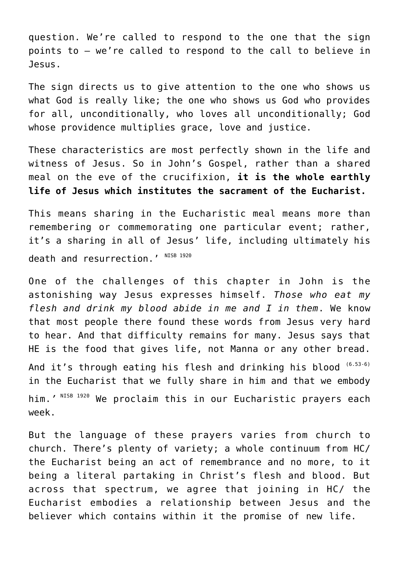question. We're called to respond to the one that the sign points to – we're called to respond to the call to believe in Jesus.

The sign directs us to give attention to the one who shows us what God is really like; the one who shows us God who provides for all, unconditionally, who loves all unconditionally; God whose providence multiplies grace, love and justice.

These characteristics are most perfectly shown in the life and witness of Jesus. So in John's Gospel, rather than a shared meal on the eve of the crucifixion, **it is the whole earthly life of Jesus which institutes the sacrament of the Eucharist.**

This means sharing in the Eucharistic meal means more than remembering or commemorating one particular event; rather, it's a sharing in all of Jesus' life, including ultimately his death and resurrection.' NISB 1920

One of the challenges of this chapter in John is the astonishing way Jesus expresses himself. *Those who eat my flesh and drink my blood abide in me and I in them*. We know that most people there found these words from Jesus very hard to hear. And that difficulty remains for many. Jesus says that HE is the food that gives life, not Manna or any other bread.

And it's through eating his flesh and drinking his blood (6.53-6) in the Eucharist that we fully share in him and that we embody him.*'* NISB 1920 We proclaim this in our Eucharistic prayers each week.

But the language of these prayers varies from church to church. There's plenty of variety; a whole continuum from HC/ the Eucharist being an act of remembrance and no more, to it being a literal partaking in Christ's flesh and blood. But across that spectrum, we agree that joining in HC/ the Eucharist embodies a relationship between Jesus and the believer which contains within it the promise of new life.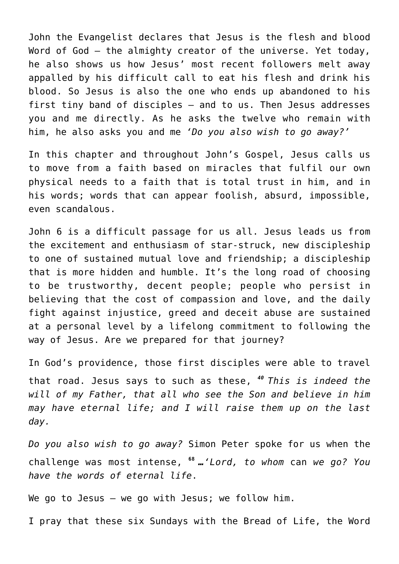John the Evangelist declares that Jesus is the flesh and blood Word of God – the almighty creator of the universe. Yet today, he also shows us how Jesus' most recent followers melt away appalled by his difficult call to eat his flesh and drink his blood. So Jesus is also the one who ends up abandoned to his first tiny band of disciples – and to us. Then Jesus addresses you and me directly. As he asks the twelve who remain with him, he also asks you and me *'Do you also wish to go away?'*

In this chapter and throughout John's Gospel, Jesus calls us to move from a faith based on miracles that fulfil our own physical needs to a faith that is total trust in him, and in his words; words that can appear foolish, absurd, impossible, even scandalous.

John 6 is a difficult passage for us all. Jesus leads us from the excitement and enthusiasm of star-struck, new discipleship to one of sustained mutual love and friendship; a discipleship that is more hidden and humble. It's the long road of choosing to be trustworthy, decent people; people who persist in believing that the cost of compassion and love, and the daily fight against injustice, greed and deceit abuse are sustained at a personal level by a lifelong commitment to following the way of Jesus. Are we prepared for that journey?

In God's providence, those first disciples were able to travel that road. Jesus says to such as these, *<sup>40</sup>This is indeed the will of my Father, that all who see the Son and believe in him may have eternal life; and I will raise them up on the last day.*

*Do you also wish to go away?* Simon Peter spoke for us when the challenge was most intense, **<sup>68</sup>** *…'Lord, to whom* can *we go? You have the words of eternal life*.

We go to Jesus – we go with Jesus; we follow him.

I pray that these six Sundays with the Bread of Life, the Word